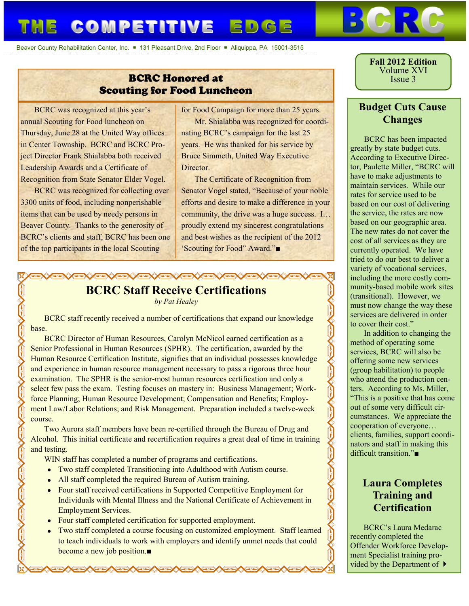# THE COMPETITIVE EDGE

Beaver County Rehabilitation Center, Inc. = 131 Pleasant Drive, 2nd Floor = Aliquippa, PA 15001-3515

### BCRC Honored at Scouting for Food Luncheon

BCRC was recognized at this year's annual Scouting for Food luncheon on Thursday, June 28 at the United Way offices in Center Township. BCRC and BCRC Project Director Frank Shialabba both received Leadership Awards and a Certificate of Recognition from State Senator Elder Vogel.

BCRC was recognized for collecting over 3300 units of food, including nonperishable items that can be used by needy persons in Beaver County. Thanks to the generosity of BCRC's clients and staff, BCRC has been one of the top participants in the local Scouting

for Food Campaign for more than 25 years.

Mr. Shialabba was recognized for coordinating BCRC's campaign for the last 25 years. He was thanked for his service by Bruce Simmeth, United Way Executive **Director** 

The Certificate of Recognition from Senator Vogel stated, "Because of your noble efforts and desire to make a difference in your community, the drive was a huge success. I… proudly extend my sincerest congratulations and best wishes as the recipient of the 2012 'Scouting for Food" Award."■

## **GXGXGXGXGXGXGXGX BCRC Staff Receive Certifications**

*by Pat Healey*

BCRC staff recently received a number of certifications that expand our knowledge base.

BCRC Director of Human Resources, Carolyn McNicol earned certification as a Senior Professional in Human Resources (SPHR). The certification, awarded by the Human Resource Certification Institute, signifies that an individual possesses knowledge and experience in human resource management necessary to pass a rigorous three hour examination. The SPHR is the senior-most human resources certification and only a select few pass the exam. Testing focuses on mastery in: Business Management; Workforce Planning; Human Resource Development; Compensation and Benefits; Employment Law/Labor Relations; and Risk Management. Preparation included a twelve-week course.

Two Aurora staff members have been re-certified through the Bureau of Drug and Alcohol. This initial certificate and recertification requires a great deal of time in training and testing.

WIN staff has completed a number of programs and certifications.

- Two staff completed Transitioning into Adulthood with Autism course.
- All staff completed the required Bureau of Autism training.
- Four staff received certifications in Supported Competitive Employment for Individuals with Mental Illness and the National Certificate of Achievement in Employment Services.
- Four staff completed certification for supported employment.

▓<del>▁▓░▓░▓░▓░▓░</del>▓░▓░▓

Two staff completed a course focusing on customized employment. Staff learned to teach individuals to work with employers and identify unmet needs that could become a new job position.■

**Fall 2012 Edition** Volume XVI Issue 3

### **Budget Cuts Cause Changes**

BCRC has been impacted greatly by state budget cuts. According to Executive Director, Paulette Miller, "BCRC will have to make adjustments to maintain services. While our rates for service used to be based on our cost of delivering the service, the rates are now based on our geographic area. The new rates do not cover the cost of all services as they are currently operated. We have tried to do our best to deliver a variety of vocational services, including the more costly community-based mobile work sites (transitional). However, we must now change the way these services are delivered in order to cover their cost."

In addition to changing the method of operating some services, BCRC will also be offering some new services (group habilitation) to people who attend the production centers. According to Ms. Miller, "This is a positive that has come out of some very difficult circumstances. We appreciate the cooperation of everyone… clients, families, support coordinators and staff in making this difficult transition."■

**Kill** 

### **Laura Completes Training and Certification**

BCRC's Laura Medarac recently completed the Offender Workforce Development Specialist training provided by the Department of  $\blacktriangleright$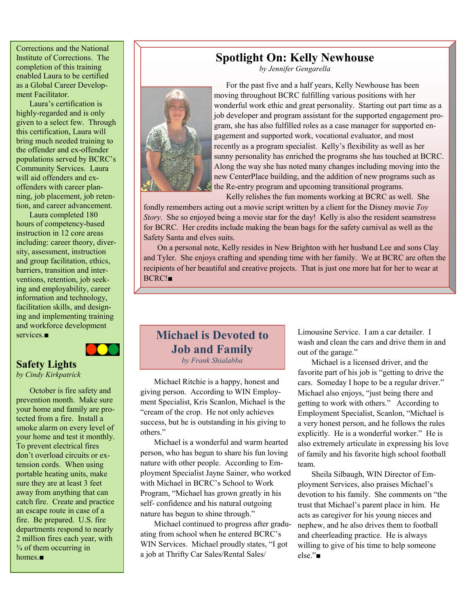Corrections and the National Institute of Corrections. The completion of this training enabled Laura to be certified as a Global Career Development Facilitator.

Laura's certification is highly-regarded and is only given to a select few. Through this certification, Laura will bring much needed training to the offender and ex-offender populations served by BCRC's Community Services. Laura will aid offenders and exoffenders with career planning, job placement, job retention, and career advancement.

Laura completed 180 hours of competency-based instruction in 12 core areas including: career theory, diversity, assessment, instruction and group facilitation, ethics, barriers, transition and interventions, retention, job seeking and employability, career information and technology, facilitation skills, and designing and implementing training and workforce development services.■



### **Safety Lights** *by Cindy Kirkpatrick*

October is fire safety and prevention month. Make sure your home and family are protected from a fire. Install a smoke alarm on every level of your home and test it monthly. To prevent electrical fires don't overload circuits or extension cords. When using portable heating units, make sure they are at least 3 feet away from anything that can catch fire. Create and practice an escape route in case of a fire. Be prepared. U.S. fire departments respond to nearly 2 million fires each year, with  $\frac{3}{4}$  of them occurring in homes.■

### **Spotlight On: Kelly Newhouse**

*by Jennifer Gengarella*



 For the past five and a half years, Kelly Newhouse has been moving throughout BCRC fulfilling various positions with her wonderful work ethic and great personality. Starting out part time as a job developer and program assistant for the supported engagement program, she has also fulfilled roles as a case manager for supported engagement and supported work, vocational evaluator, and most recently as a program specialist. Kelly's flexibility as well as her sunny personality has enriched the programs she has touched at BCRC. Along the way she has noted many changes including moving into the new CenterPlace building, and the addition of new programs such as the Re-entry program and upcoming transitional programs.

 Kelly relishes the fun moments working at BCRC as well. She fondly remembers acting out a movie script written by a client for the Disney movie *Toy Story*. She so enjoyed being a movie star for the day! Kelly is also the resident seamstress for BCRC. Her credits include making the bean bags for the safety carnival as well as the Safety Santa and elves suits.

On a personal note, Kelly resides in New Brighton with her husband Lee and sons Clay and Tyler. She enjoys crafting and spending time with her family. We at BCRC are often the recipients of her beautiful and creative projects. That is just one more hat for her to wear at BCRC!■

### **Michael is Devoted to Job and Family** *by Frank Shialabba*

Michael Ritchie is a happy, honest and giving person. According to WIN Employment Specialist, Kris Scanlon, Michael is the "cream of the crop. He not only achieves success, but he is outstanding in his giving to others."

Michael is a wonderful and warm hearted person, who has begun to share his fun loving nature with other people. According to Employment Specialist Jayne Sainer, who worked with Michael in BCRC's School to Work Program, "Michael has grown greatly in his self- confidence and his natural outgoing nature has begun to shine through."

Michael continued to progress after graduating from school when he entered BCRC's WIN Services. Michael proudly states, "I got a job at Thrifty Car Sales/Rental Sales/

Limousine Service. I am a car detailer. I wash and clean the cars and drive them in and out of the garage."

Michael is a licensed driver, and the favorite part of his job is "getting to drive the cars. Someday I hope to be a regular driver." Michael also enjoys, "just being there and getting to work with others." According to Employment Specialist, Scanlon, "Michael is a very honest person, and he follows the rules explicitly. He is a wonderful worker." He is also extremely articulate in expressing his love of family and his favorite high school football team.

Sheila Silbaugh, WIN Director of Employment Services, also praises Michael's devotion to his family. She comments on "the trust that Michael's parent place in him. He acts as caregiver for his young nieces and nephew, and he also drives them to football and cheerleading practice. He is always willing to give of his time to help someone else."■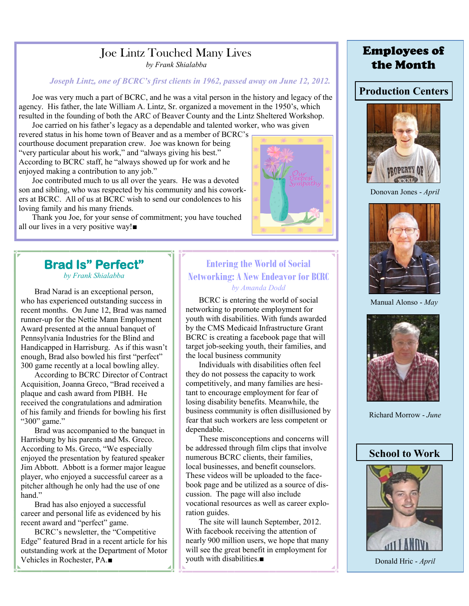# Joe Lintz Touched Many Lives

*by Frank Shialabba*

### *Joseph Lintz, one of BCRC's first clients in 1962, passed away on June 12, 2012.*

Joe was very much a part of BCRC, and he was a vital person in the history and legacy of the agency. His father, the late William A. Lintz, Sr. organized a movement in the 1950's, which resulted in the founding of both the ARC of Beaver County and the Lintz Sheltered Workshop. Joe carried on his father's legacy as a dependable and talented worker, who was given

revered status in his home town of Beaver and as a member of BCRC's courthouse document preparation crew. Joe was known for being "very particular about his work," and "always giving his best." According to BCRC staff, he "always showed up for work and he enjoyed making a contribution to any job."

Joe contributed much to us all over the years. He was a devoted son and sibling, who was respected by his community and his coworkers at BCRC. All of us at BCRC wish to send our condolences to his loving family and his many friends.

Thank you Joe, for your sense of commitment; you have touched all our lives in a very positive way!■

# **Brad Is" Perfect"**

*by Frank Shialabba*

Brad Narad is an exceptional person, who has experienced outstanding success in recent months. On June 12, Brad was named runner-up for the Nettie Mann Employment Award presented at the annual banquet of Pennsylvania Industries for the Blind and Handicapped in Harrisburg. As if this wasn't enough, Brad also bowled his first "perfect" 300 game recently at a local bowling alley.

According to BCRC Director of Contract Acquisition, Joanna Greco, "Brad received a plaque and cash award from PIBH. He received the congratulations and admiration of his family and friends for bowling his first "300" game."

Brad was accompanied to the banquet in Harrisburg by his parents and Ms. Greco. According to Ms. Greco, "We especially enjoyed the presentation by featured speaker Jim Abbott. Abbott is a former major league player, who enjoyed a successful career as a pitcher although he only had the use of one hand"

Brad has also enjoyed a successful career and personal life as evidenced by his recent award and "perfect" game.

BCRC's newsletter, the "Competitive Edge" featured Brad in a recent article for his outstanding work at the Department of Motor Vehicles in Rochester, PA.■

### **Entering the World of Social Networking: A New Endeavor for BCRC** *by Amanda Dodd*

BCRC is entering the world of social networking to promote employment for youth with disabilities. With funds awarded by the CMS Medicaid Infrastructure Grant BCRC is creating a facebook page that will target job-seeking youth, their families, and the local business community

Individuals with disabilities often feel they do not possess the capacity to work competitively, and many families are hesitant to encourage employment for fear of losing disability benefits. Meanwhile, the business community is often disillusioned by fear that such workers are less competent or dependable.

These misconceptions and concerns will be addressed through film clips that involve numerous BCRC clients, their families, local businesses, and benefit counselors. These videos will be uploaded to the facebook page and be utilized as a source of discussion. The page will also include vocational resources as well as career exploration guides.

The site will launch September, 2012. With facebook receiving the attention of nearly 900 million users, we hope that many will see the great benefit in employment for youth with disabilities.■

# Employees of the Month

### **Production Centers**



Donovan Jones - *April*



Manual Alonso - *May*



Richard Morrow - *June*

### **School to Work**



Donald Hric - *April*